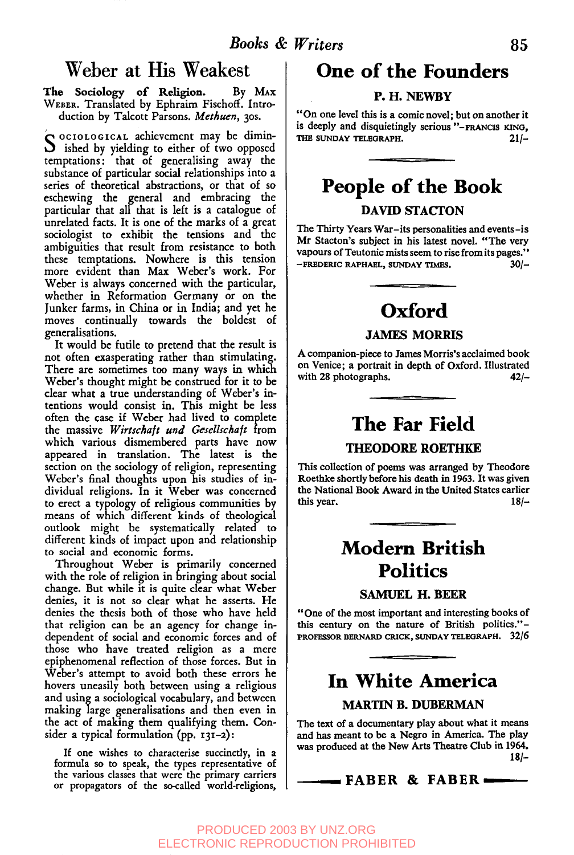### **Weber at His Weakest**

The Sociology of Religion. By MAX WEBER. Translated by Ephraim Fischoff. Introduction by Talcott Parsons. *Methuen,* 3os.

S <sup>OCIOLOGICAL</sup> achievement may be dimin-<br>S ished by yielding to either of two opposed temptations: that of generalising away the substance of particular social relationships into a series of theoretical abstractions, or that of so eschewing the general and embracing the particular that all that is left is a catalogue of unrelated facts. It is one of the marks of a great sociologist to exhibit the tensions and the ambiguities that result from resistance to both these temptations. Nowhere is this tension more evident than Max Weber's work. For Weber is always concerned with the particular, whether in Reformation Germany or on the Junker farms, in China or in India; and yet he moves continually towards the boldest of generalisations.

It would be futile to pretend that the result is not often exasperating rather than stimulating. There are sometimes too many ways in which Weber's thought might be construed for it to be clear what a true understanding of Weber's intentions would consist in. This might be less often the case if Weber had lived to complete the massive *Wirtschaft und Gesellschaft* from which various dismembered parts have now appeared in translation. The latest is the section on the sociology of religion, representing Weber's final thoughts upon his studies of individual religions. In it Weber was concerned to erect a typology of religious communities by means of which different kinds of theological outlook might be systematically related to different kinds of impact upon and relationship to social and economic forms.

Throughout Weber is primarily concerned with the role of religion in bringing about social change. But while it is quite clear what Weber denies, it is not so clear what he asserts. He denies the thesis both of those who have held that religion can be an agency for change independent of social and economic forces and of those who have treated religion as a mere epiphenomenal reflection of those forces. But in Weber's attempt to avoid both these errors he hovers uneasily both between using a religious and using a sociological vocabulary, and between making large generalisations and then even in the act of making them qualifying them. Consider a typical formulation (pp. I31-2):

If one wishes to characterise succinctly, in a formula so to speak, the types representative of the various classes that were the primary carriers or propagators of the so-called world-religions,

### **One of the Founders**

#### P. H. NEWBY

"On one level this is a comic novel; but on another it is deeply and disquietingly serious "-FRANCIS KING, THE SUNDAY TELEGRAPH. 21/-

# **People of the Book**

#### DAVID STACTON

The Thirty Years War-its personalities and events-is Mr Stacton's subject in his latest novel. "The very vapours of Teutonic mists seem to rise from its pages." --FREDERIC RAPHAEL, SUNDAY TIMES. **30/-**

## **Oxford**

**JAMES MORRIS** 

A companion-piece to James Morris's acclaimed book on Venice; a portrait in depth of Oxford. Illustrated with 28 photographs. **42/-**

### **The Far Field**

#### THEODORE ROETHKE

This collection of poems was arranged by Theodore Roethke shortly before his death in 1963. It was given the National Book Award in the United States earlier<br>this year. 18/this year.

# **Modern British Politics**

SAMUEL H. BEER

"One of the most important and interesting books of this century on the nature of British politics."-PROFESSOR BERNARD CRICK, SUNDAY TELEGRAPH. 32/6

### **In White America**

### MARTIN B. DUBERMAN

The text of a documentary play about what it means and has meant to be a Negro in America. The play was produced at the New Arts Theatre Club in 1964. **Is/-**

### **~FABER & FABER**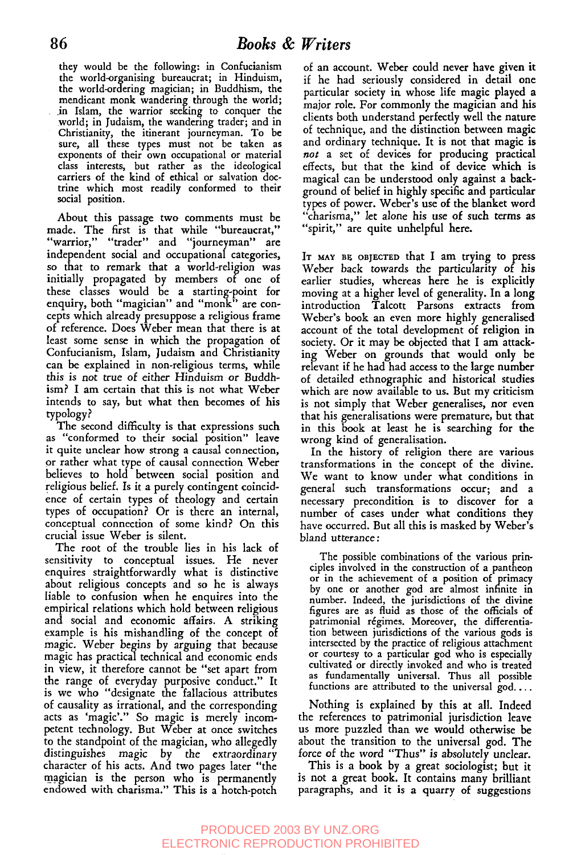they would be the following: in Confucianism the world-organising bureaucrat; in Hinduism, the world-ordering magician; in Buddhism, the mendicant monk wandering through the world; in Islam, the warrior seeking to conquer the world; in Judaism, the wandering trader; and in Christianity, the itinerant journeyman. To be sure, all these types must not be taken as exponents of their own occupational or material class interests, but rather as the ideological carriers of the kind of ethical or salvation doctrine which most readily conformed to their social position.

About this passage two comments must be made. The first is that while "bureaucrat," "warrior," "trader" and "journeyman" are independent social and occupational categories, so that to remark that a world-religion was initially propagated by members of one of these classes would be a starting-point for enquiry, both "magician" and "monk" are concepts which already presuppose a religious frame of reference. Does Weber mean that there is at least some sense in which the propagation of Confucianism, Islam, Judaism and Christianity can be explained in non-religious terms, while this is not true of either Hinduism or Buddhism? I am certain that this is not what Weber intends to say, but what then becomes of his typology?

The second difficulty is that expressions such as "conformed to their social position" leave it quite unclear how strong a causal connection, or rather what type of causal connection Weber believes to hold between social position and religious belief. Is it a purely contingent coincidence of certain types of theology and certain types of occupation? Or is there an internal, conceptual connection of some kind? On this crucial issue Weber is silent.

The root of the trouble lies in his lack of sensitivity to conceptual issues. He never enquires straightforwardly what is distinctive about religious concepts and so he is always liable to confusion when he enquires into the empirical relations which hold between religious and social and economic affairs. A striking example is his mishandling of the concept of magic. Weber begins by arguing that because magic has practical technical and economic ends in view, it therefore cannot be "set apart from the range of everyday purposive conduct." It is we who "designate the fallacious attributes of causality as irrational, and the corresponding acts as 'magic'." So magic is merely incompetent technology. But Weber at once switches to the standpoint of the magician, who allegedly distinguishes magic by the extraordinary character of his acts. And two pages later "the magician is the person who is permanently endowed with charisma." This is a hotch-potch

of an account. Weber could never have given it if he had seriously considered in detail one particular society in whose life magic played a major role. For commonly the magician and his clients both understand perfectly well the nature of technique, and the distinction between magic and ordinary technique. It is not that magic is not a set of devices for producing practical effects, but that the kind of device which is magical can be understood only against a background of belief in highly specific and particular types of power. Weber's use of the blanket word "charisma," let alone his use of such terms as "spirit," are quite unhelpful here.

IT MAY BE OBJECTED that I am trying to press Weber back *towards the* particularity of his earlier studies, whereas here he is explicitly moving at a higher level of generality. In a long introduction Talcott Parsons extracts from Weber's book an even more highly generalised account of the total development of religion in society. Or it may be objected that I am attacking Weber on grounds that would only be relevant if he had had access to the large number of detailed ethnographic and historical studies which are now available to us. But my criticism is not simply that Weber generalises, nor even that his generalisations were premature, but that in this book at least he is searching for the wrong kind of generalisation.

In the history of religion there are various transformations in the concept of the divine. We want to know under what conditions in general such transformations occur; and a necessary precondition is to discover for a number of cases under what conditions they have occurred. But all this is masked by Weber's bland utterance:

The possible combinations of the various principles involved in the construction of a pantheon or in the achievement of a position of primacy by one or another god are almost infinite in number. Indeed, the jurisdictions of the divine figures are as fluid as those of the officials of patrimonial régimes. Moreover, the differentiation between jurisdictions of the various gods is intersected by the practice of religious attachment or courtesy to a particular god who is especially cultivated or directly invoked and who is treated as fundamentally universal. Thus all possible functions are attributed to the universal god....

Nothing is explained by this at all. Indeed the references to patrimonial jurisdiction leave us more puzzled than we would otherwise be about the transition to the universal god. The force of the *word* "Thus" is absolutely unclear.

This is a book by a great sociologist; but it is not a great book. It contains many brilliant paragraphs, and it is a quarry of suggestions

### PRODUCED 2003 BY UNZ.ORG ELECTRONIC REPRODUCTION PROHIBITED